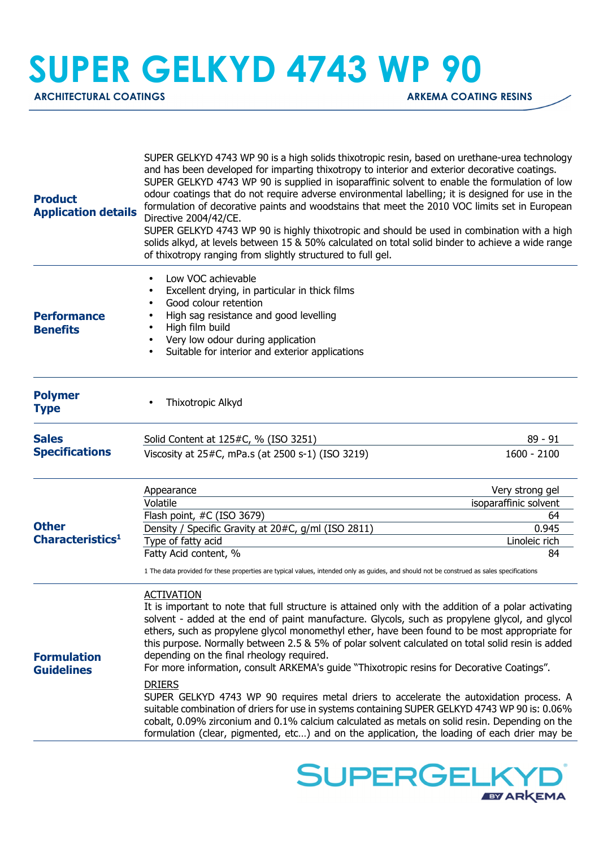## **SUPER GELKYD 4743 WP 90**

**ARCHITECTURAL COATINGS** ARCHITECTURAL COATING RESINS

| <b>Product</b><br><b>Application details</b> | SUPER GELKYD 4743 WP 90 is a high solids thixotropic resin, based on urethane-urea technology<br>and has been developed for imparting thixotropy to interior and exterior decorative coatings.<br>SUPER GELKYD 4743 WP 90 is supplied in isoparaffinic solvent to enable the formulation of low<br>odour coatings that do not require adverse environmental labelling; it is designed for use in the<br>formulation of decorative paints and woodstains that meet the 2010 VOC limits set in European<br>Directive 2004/42/CE.<br>SUPER GELKYD 4743 WP 90 is highly thixotropic and should be used in combination with a high<br>solids alkyd, at levels between 15 & 50% calculated on total solid binder to achieve a wide range<br>of thixotropy ranging from slightly structured to full gel. |                                                                                |
|----------------------------------------------|---------------------------------------------------------------------------------------------------------------------------------------------------------------------------------------------------------------------------------------------------------------------------------------------------------------------------------------------------------------------------------------------------------------------------------------------------------------------------------------------------------------------------------------------------------------------------------------------------------------------------------------------------------------------------------------------------------------------------------------------------------------------------------------------------|--------------------------------------------------------------------------------|
| <b>Performance</b><br><b>Benefits</b>        | Low VOC achievable<br>Excellent drying, in particular in thick films<br>Good colour retention<br>High sag resistance and good levelling<br>$\bullet$<br>High film build<br>$\bullet$<br>Very low odour during application<br>$\bullet$<br>Suitable for interior and exterior applications<br>$\bullet$                                                                                                                                                                                                                                                                                                                                                                                                                                                                                            |                                                                                |
| <b>Polymer</b><br><b>Type</b>                | Thixotropic Alkyd                                                                                                                                                                                                                                                                                                                                                                                                                                                                                                                                                                                                                                                                                                                                                                                 |                                                                                |
| <b>Sales</b><br><b>Specifications</b>        | Solid Content at 125#C, % (ISO 3251)<br>Viscosity at 25#C, mPa.s (at 2500 s-1) (ISO 3219)                                                                                                                                                                                                                                                                                                                                                                                                                                                                                                                                                                                                                                                                                                         | $89 - 91$<br>1600 - 2100                                                       |
| <b>Other</b><br>Characteristics <sup>1</sup> | Appearance<br>Volatile<br>Flash point, #C (ISO 3679)<br>Density / Specific Gravity at 20#C, g/ml (ISO 2811)<br>Type of fatty acid<br>Fatty Acid content, %<br>1 The data provided for these properties are typical values, intended only as guides, and should not be construed as sales specifications                                                                                                                                                                                                                                                                                                                                                                                                                                                                                           | Very strong gel<br>isoparaffinic solvent<br>64<br>0.945<br>Linoleic rich<br>84 |
| <b>Formulation</b><br><b>Guidelines</b>      | <b>ACTIVATION</b><br>It is important to note that full structure is attained only with the addition of a polar activating<br>solvent - added at the end of paint manufacture. Glycols, such as propylene glycol, and glycol<br>ethers, such as propylene glycol monomethyl ether, have been found to be most appropriate for<br>this purpose. Normally between 2.5 & 5% of polar solvent calculated on total solid resin is added<br>depending on the final rheology required.<br>For more information, consult ARKEMA's guide "Thixotropic resins for Decorative Coatings".<br><b>DRIERS</b><br>SUPER GELKYD 4743 WP 90 requires metal driers to accelerate the autoxidation process. A                                                                                                          |                                                                                |
|                                              | suitable combination of driers for use in systems containing SUPER GELKYD 4743 WP 90 is: 0.06%<br>cobalt, 0.09% zirconium and 0.1% calcium calculated as metals on solid resin. Depending on the<br>formulation (clear, pigmented, etc) and on the application, the loading of each drier may be                                                                                                                                                                                                                                                                                                                                                                                                                                                                                                  |                                                                                |